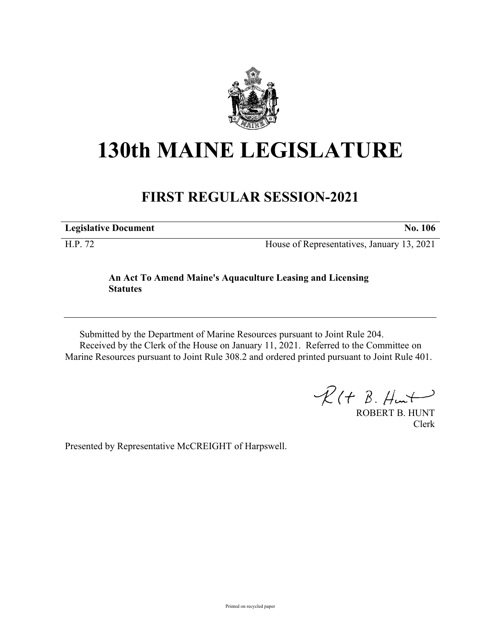

## **130th MAINE LEGISLATURE**

## **FIRST REGULAR SESSION-2021**

**Legislative Document No. 106**

H.P. 72 House of Representatives, January 13, 2021

## **An Act To Amend Maine's Aquaculture Leasing and Licensing Statutes**

Submitted by the Department of Marine Resources pursuant to Joint Rule 204. Received by the Clerk of the House on January 11, 2021. Referred to the Committee on Marine Resources pursuant to Joint Rule 308.2 and ordered printed pursuant to Joint Rule 401.

 $\mathcal{R}(t \; \mathcal{B}, \#m)$ 

ROBERT B. HUNT Clerk

Presented by Representative McCREIGHT of Harpswell.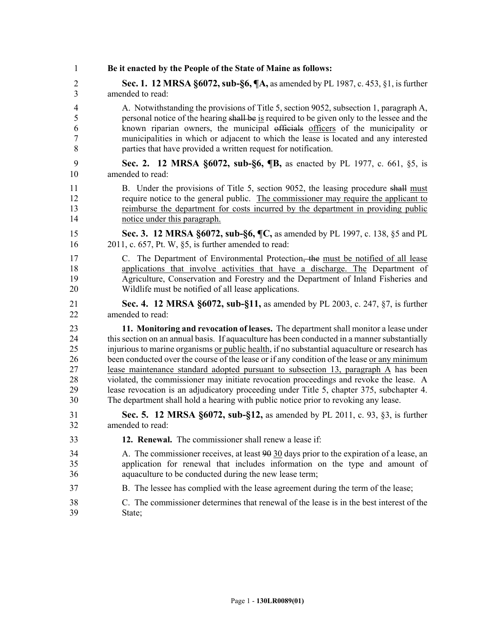| 1  | Be it enacted by the People of the State of Maine as follows:                                 |
|----|-----------------------------------------------------------------------------------------------|
| 2  | <b>Sec. 1. 12 MRSA §6072, sub-§6, ¶A, as amended by PL 1987, c. 453, §1, is further</b>       |
| 3  | amended to read:                                                                              |
| 4  | A. Notwithstanding the provisions of Title 5, section 9052, subsection 1, paragraph A,        |
| 5  | personal notice of the hearing shall be is required to be given only to the lessee and the    |
| 6  | known riparian owners, the municipal officials officers of the municipality or                |
| 7  | municipalities in which or adjacent to which the lease is located and any interested          |
| 8  | parties that have provided a written request for notification.                                |
| 9  | Sec. 2. 12 MRSA §6072, sub-§6, ¶B, as enacted by PL 1977, c. 661, §5, is                      |
| 10 | amended to read:                                                                              |
| 11 | B. Under the provisions of Title 5, section 9052, the leasing procedure shall must            |
| 12 | require notice to the general public. The commissioner may require the applicant to           |
| 13 | reimburse the department for costs incurred by the department in providing public             |
| 14 | notice under this paragraph.                                                                  |
| 15 | Sec. 3. 12 MRSA §6072, sub-§6, ¶C, as amended by PL 1997, c. 138, §5 and PL                   |
| 16 | $2011$ , c. 657, Pt. W, §5, is further amended to read:                                       |
| 17 | C. The Department of Environmental Protection, the must be notified of all lease              |
| 18 | applications that involve activities that have a discharge. The Department of                 |
| 19 | Agriculture, Conservation and Forestry and the Department of Inland Fisheries and             |
| 20 | Wildlife must be notified of all lease applications.                                          |
| 21 | <b>Sec. 4. 12 MRSA §6072, sub-§11, as amended by PL 2003, c. 247, §7, is further</b>          |
| 22 | amended to read:                                                                              |
| 23 | 11. Monitoring and revocation of leases. The department shall monitor a lease under           |
| 24 | this section on an annual basis. If aquaculture has been conducted in a manner substantially  |
| 25 | injurious to marine organisms or public health, if no substantial aquaculture or research has |
| 26 | been conducted over the course of the lease or if any condition of the lease or any minimum   |
| 27 | lease maintenance standard adopted pursuant to subsection 13, paragraph A has been            |
| 28 | violated, the commissioner may initiate revocation proceedings and revoke the lease. A        |
| 29 | lease revocation is an adjudicatory proceeding under Title 5, chapter 375, subchapter 4.      |
| 30 | The department shall hold a hearing with public notice prior to revoking any lease.           |
| 31 | <b>Sec. 5. 12 MRSA §6072, sub-§12, as amended by PL 2011, c. 93, §3, is further</b>           |
| 32 | amended to read:                                                                              |
| 33 | 12. Renewal. The commissioner shall renew a lease if:                                         |
| 34 | A. The commissioner receives, at least 90 30 days prior to the expiration of a lease, an      |
| 35 | application for renewal that includes information on the type and amount of                   |
| 36 | aquaculture to be conducted during the new lease term;                                        |
| 37 | B. The lessee has complied with the lease agreement during the term of the lease;             |
| 38 | C. The commissioner determines that renewal of the lease is in the best interest of the       |
| 39 | State;                                                                                        |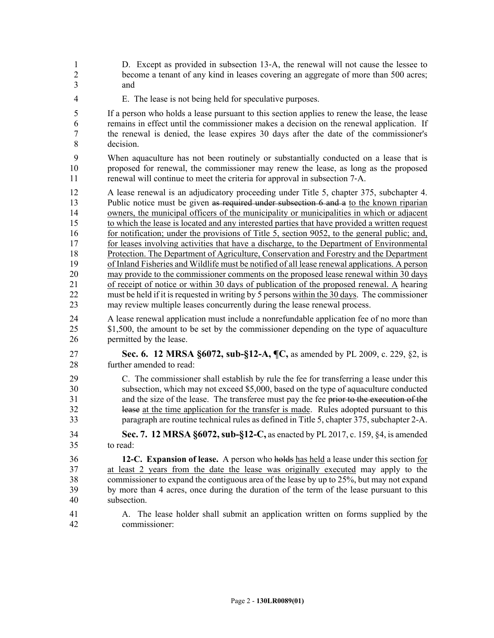1 D. Except as provided in subsection 13‑A, the renewal will not cause the lessee to 2 become a tenant of any kind in leases covering an aggregate of more than 500 acres; 3 and

4 E. The lease is not being held for speculative purposes.

5 If a person who holds a lease pursuant to this section applies to renew the lease, the lease 6 remains in effect until the commissioner makes a decision on the renewal application. If 7 the renewal is denied, the lease expires 30 days after the date of the commissioner's 8 decision.

9 When aquaculture has not been routinely or substantially conducted on a lease that is 10 proposed for renewal, the commissioner may renew the lease, as long as the proposed 11 renewal will continue to meet the criteria for approval in subsection 7-A.

12 A lease renewal is an adjudicatory proceeding under Title 5, chapter 375, subchapter 4. 13 Public notice must be given as required under subsection 6 and a to the known riparian 14 owners, the municipal officers of the municipality or municipalities in which or adjacent 15 to which the lease is located and any interested parties that have provided a written request 16 for notification; under the provisions of Title 5, section 9052, to the general public; and, 17 for leases involving activities that have a discharge, to the Department of Environmental 18 Protection. The Department of Agriculture, Conservation and Forestry and the Department 19 of Inland Fisheries and Wildlife must be notified of all lease renewal applications. A person 20 may provide to the commissioner comments on the proposed lease renewal within 30 days 21 of receipt of notice or within 30 days of publication of the proposed renewal. A hearing 22 must be held if it is requested in writing by 5 persons within the 30 days. The commissioner 23 may review multiple leases concurrently during the lease renewal process.

24 A lease renewal application must include a nonrefundable application fee of no more than 25 \$1,500, the amount to be set by the commissioner depending on the type of aquaculture 26 permitted by the lease.

27 **Sec. 6. 12 MRSA §6072, sub-§12-A, ¶C,** as amended by PL 2009, c. 229, §2, is 28 further amended to read:

29 C. The commissioner shall establish by rule the fee for transferring a lease under this 30 subsection, which may not exceed \$5,000, based on the type of aquaculture conducted 31 and the size of the lease. The transferee must pay the fee prior to the execution of the 32 lease at the time application for the transfer is made. Rules adopted pursuant to this 33 paragraph are routine technical rules as defined in Title 5, chapter 375, subchapter 2-A.

34 **Sec. 7. 12 MRSA §6072, sub-§12-C,** as enacted by PL 2017, c. 159, §4, is amended 35 to read:

36 **12-C. Expansion of lease.** A person who holds has held a lease under this section for 37 at least 2 years from the date the lease was originally executed may apply to the 38 commissioner to expand the contiguous area of the lease by up to 25%, but may not expand 39 by more than 4 acres, once during the duration of the term of the lease pursuant to this 40 subsection.

41 A. The lease holder shall submit an application written on forms supplied by the 42 commissioner: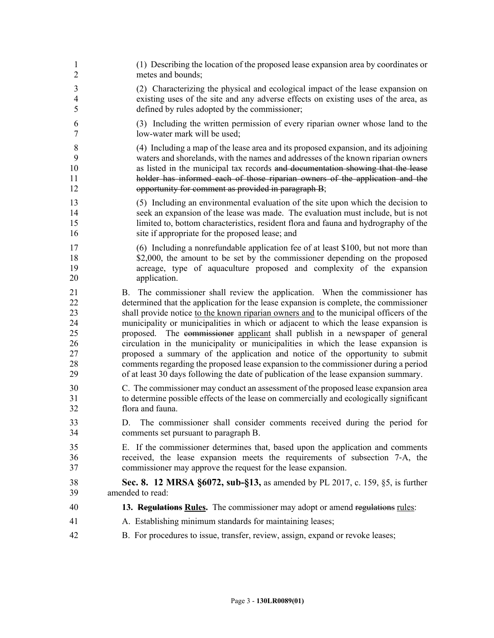| 1                                                  | (1) Describing the location of the proposed lease expansion area by coordinates or                                                                                                                                                                                                                                                                                                                                                                                                                                                                                                                                                                                                                                                                                                             |
|----------------------------------------------------|------------------------------------------------------------------------------------------------------------------------------------------------------------------------------------------------------------------------------------------------------------------------------------------------------------------------------------------------------------------------------------------------------------------------------------------------------------------------------------------------------------------------------------------------------------------------------------------------------------------------------------------------------------------------------------------------------------------------------------------------------------------------------------------------|
| $\overline{2}$                                     | metes and bounds;                                                                                                                                                                                                                                                                                                                                                                                                                                                                                                                                                                                                                                                                                                                                                                              |
| $\overline{3}$                                     | (2) Characterizing the physical and ecological impact of the lease expansion on                                                                                                                                                                                                                                                                                                                                                                                                                                                                                                                                                                                                                                                                                                                |
| $\overline{4}$                                     | existing uses of the site and any adverse effects on existing uses of the area, as                                                                                                                                                                                                                                                                                                                                                                                                                                                                                                                                                                                                                                                                                                             |
| 5                                                  | defined by rules adopted by the commissioner;                                                                                                                                                                                                                                                                                                                                                                                                                                                                                                                                                                                                                                                                                                                                                  |
| 6                                                  | (3) Including the written permission of every riparian owner whose land to the                                                                                                                                                                                                                                                                                                                                                                                                                                                                                                                                                                                                                                                                                                                 |
| 7                                                  | low-water mark will be used;                                                                                                                                                                                                                                                                                                                                                                                                                                                                                                                                                                                                                                                                                                                                                                   |
| 8                                                  | (4) Including a map of the lease area and its proposed expansion, and its adjoining                                                                                                                                                                                                                                                                                                                                                                                                                                                                                                                                                                                                                                                                                                            |
| 9                                                  | waters and shorelands, with the names and addresses of the known riparian owners                                                                                                                                                                                                                                                                                                                                                                                                                                                                                                                                                                                                                                                                                                               |
| 10                                                 | as listed in the municipal tax records and documentation showing that the lease                                                                                                                                                                                                                                                                                                                                                                                                                                                                                                                                                                                                                                                                                                                |
| 11                                                 | holder has informed each of those riparian owners of the application and the                                                                                                                                                                                                                                                                                                                                                                                                                                                                                                                                                                                                                                                                                                                   |
| 12                                                 | opportunity for comment as provided in paragraph B;                                                                                                                                                                                                                                                                                                                                                                                                                                                                                                                                                                                                                                                                                                                                            |
| 13                                                 | (5) Including an environmental evaluation of the site upon which the decision to                                                                                                                                                                                                                                                                                                                                                                                                                                                                                                                                                                                                                                                                                                               |
| 14                                                 | seek an expansion of the lease was made. The evaluation must include, but is not                                                                                                                                                                                                                                                                                                                                                                                                                                                                                                                                                                                                                                                                                                               |
| 15                                                 | limited to, bottom characteristics, resident flora and fauna and hydrography of the                                                                                                                                                                                                                                                                                                                                                                                                                                                                                                                                                                                                                                                                                                            |
| 16                                                 | site if appropriate for the proposed lease; and                                                                                                                                                                                                                                                                                                                                                                                                                                                                                                                                                                                                                                                                                                                                                |
| 17                                                 | (6) Including a nonrefundable application fee of at least \$100, but not more than                                                                                                                                                                                                                                                                                                                                                                                                                                                                                                                                                                                                                                                                                                             |
| 18                                                 | \$2,000, the amount to be set by the commissioner depending on the proposed                                                                                                                                                                                                                                                                                                                                                                                                                                                                                                                                                                                                                                                                                                                    |
| 19                                                 | acreage, type of aquaculture proposed and complexity of the expansion                                                                                                                                                                                                                                                                                                                                                                                                                                                                                                                                                                                                                                                                                                                          |
| 20                                                 | application.                                                                                                                                                                                                                                                                                                                                                                                                                                                                                                                                                                                                                                                                                                                                                                                   |
| 21<br>22<br>23<br>24<br>25<br>26<br>27<br>28<br>29 | The commissioner shall review the application. When the commissioner has<br>B.<br>determined that the application for the lease expansion is complete, the commissioner<br>shall provide notice to the known riparian owners and to the municipal officers of the<br>municipality or municipalities in which or adjacent to which the lease expansion is<br>proposed. The eommissioner applicant shall publish in a newspaper of general<br>circulation in the municipality or municipalities in which the lease expansion is<br>proposed a summary of the application and notice of the opportunity to submit<br>comments regarding the proposed lease expansion to the commissioner during a period<br>of at least 30 days following the date of publication of the lease expansion summary. |
| 30                                                 | C. The commissioner may conduct an assessment of the proposed lease expansion area                                                                                                                                                                                                                                                                                                                                                                                                                                                                                                                                                                                                                                                                                                             |
| 31                                                 | to determine possible effects of the lease on commercially and ecologically significant                                                                                                                                                                                                                                                                                                                                                                                                                                                                                                                                                                                                                                                                                                        |
| 32                                                 | flora and fauna.                                                                                                                                                                                                                                                                                                                                                                                                                                                                                                                                                                                                                                                                                                                                                                               |
| 33<br>34                                           | The commissioner shall consider comments received during the period for<br>D.<br>comments set pursuant to paragraph B.                                                                                                                                                                                                                                                                                                                                                                                                                                                                                                                                                                                                                                                                         |
| 35                                                 | E. If the commissioner determines that, based upon the application and comments                                                                                                                                                                                                                                                                                                                                                                                                                                                                                                                                                                                                                                                                                                                |
| 36                                                 | received, the lease expansion meets the requirements of subsection 7-A, the                                                                                                                                                                                                                                                                                                                                                                                                                                                                                                                                                                                                                                                                                                                    |
| 37                                                 | commissioner may approve the request for the lease expansion.                                                                                                                                                                                                                                                                                                                                                                                                                                                                                                                                                                                                                                                                                                                                  |
| 38                                                 | Sec. 8. 12 MRSA §6072, sub-§13, as amended by PL 2017, c. 159, §5, is further                                                                                                                                                                                                                                                                                                                                                                                                                                                                                                                                                                                                                                                                                                                  |
| 39                                                 | amended to read:                                                                                                                                                                                                                                                                                                                                                                                                                                                                                                                                                                                                                                                                                                                                                                               |
| 40                                                 | 13. Regulations Rules. The commissioner may adopt or amend regulations rules:                                                                                                                                                                                                                                                                                                                                                                                                                                                                                                                                                                                                                                                                                                                  |
| 41                                                 | A. Establishing minimum standards for maintaining leases;                                                                                                                                                                                                                                                                                                                                                                                                                                                                                                                                                                                                                                                                                                                                      |
| 42                                                 | B. For procedures to issue, transfer, review, assign, expand or revoke leases;                                                                                                                                                                                                                                                                                                                                                                                                                                                                                                                                                                                                                                                                                                                 |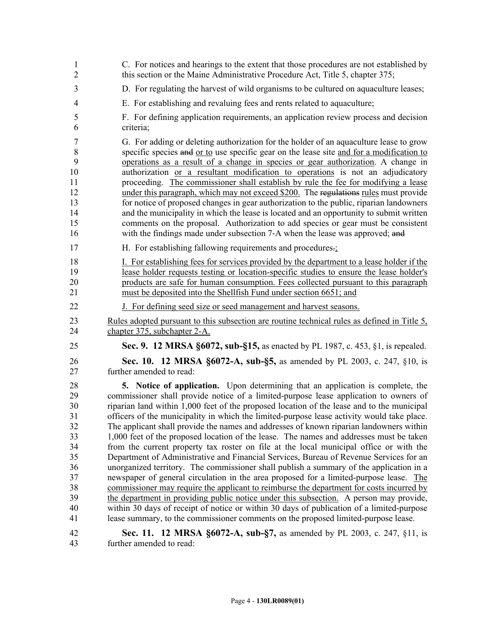| 1              | C. For notices and hearings to the extent that those procedures are not established by       |
|----------------|----------------------------------------------------------------------------------------------|
| $\overline{2}$ | this section or the Maine Administrative Procedure Act, Title 5, chapter 375;                |
| 3              | D. For regulating the harvest of wild organisms to be cultured on aquaculture leases;        |
| $\overline{4}$ | E. For establishing and revaluing fees and rents related to aquaculture;                     |
| 5              | F. For defining application requirements, an application review process and decision         |
| 6              | criteria;                                                                                    |
| 7              | G. For adding or deleting authorization for the holder of an aquaculture lease to grow       |
| 8              | specific species and or to use specific gear on the lease site and for a modification to     |
| 9              | operations as a result of a change in species or gear authorization. A change in             |
| 10             | authorization or a resultant modification to operations is not an adjudicatory               |
| 11             | proceeding. The commissioner shall establish by rule the fee for modifying a lease           |
| 12             | under this paragraph, which may not exceed \$200. The regulations rules must provide         |
| 13             | for notice of proposed changes in gear authorization to the public, riparian landowners      |
| 14             | and the municipality in which the lease is located and an opportunity to submit written      |
| 15             | comments on the proposal. Authorization to add species or gear must be consistent            |
| 16             | with the findings made under subsection 7-A when the lease was approved; and                 |
| 17             | H. For establishing fallowing requirements and procedures.                                   |
| 18             | I. For establishing fees for services provided by the department to a lease holder if the    |
| 19             | lease holder requests testing or location-specific studies to ensure the lease holder's      |
| 20             | products are safe for human consumption. Fees collected pursuant to this paragraph           |
| 21             | must be deposited into the Shellfish Fund under section 6651; and                            |
| 22             | J. For defining seed size or seed management and harvest seasons.                            |
| 23             | Rules adopted pursuant to this subsection are routine technical rules as defined in Title 5, |
| 24             | chapter 375, subchapter 2-A.                                                                 |
| 25             | Sec. 9. 12 MRSA §6072, sub-§15, as enacted by PL 1987, c. 453, §1, is repealed.              |
| 26             | Sec. 10. 12 MRSA §6072-A, sub-§5, as amended by PL 2003, c. 247, §10, is                     |
| 27             | further amended to read:                                                                     |
| 28             | 5. Notice of application. Upon determining that an application is complete, the              |
| 29             | commissioner shall provide notice of a limited-purpose lease application to owners of        |
| 30             | riparian land within 1,000 feet of the proposed location of the lease and to the municipal   |
| 31             | officers of the municipality in which the limited-purpose lease activity would take place.   |
| 32             | The applicant shall provide the names and addresses of known riparian landowners within      |
| 33             | 1,000 feet of the proposed location of the lease. The names and addresses must be taken      |
| 34             | from the current property tax roster on file at the local municipal office or with the       |
| 35             | Department of Administrative and Financial Services, Bureau of Revenue Services for an       |
| 36             | unorganized territory. The commissioner shall publish a summary of the application in a      |
| 37             | newspaper of general circulation in the area proposed for a limited-purpose lease. The       |
| 38             | commissioner may require the applicant to reimburse the department for costs incurred by     |
| 39             | the department in providing public notice under this subsection. A person may provide,       |
| 40             | within 30 days of receipt of notice or within 30 days of publication of a limited-purpose    |
| 41             | lease summary, to the commissioner comments on the proposed limited-purpose lease.           |
| 42             | <b>Sec. 11. 12 MRSA §6072-A, sub-§7, as amended by PL 2003, c. 247, §11, is</b>              |
| 43             | further amended to read:                                                                     |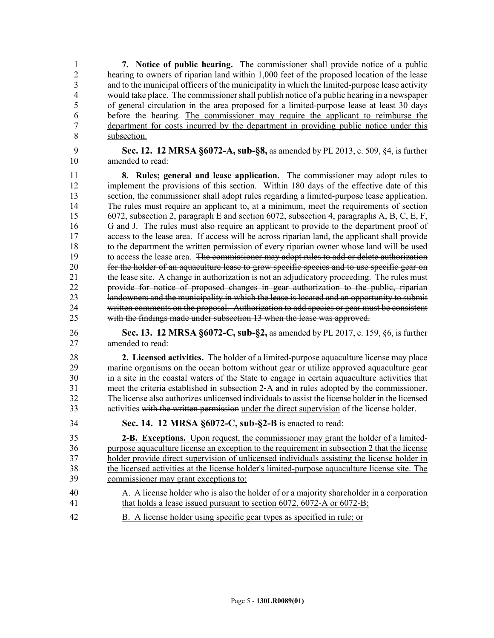1 **7. Notice of public hearing.** The commissioner shall provide notice of a public 2 hearing to owners of riparian land within 1,000 feet of the proposed location of the lease<br>3 and to the municipal officers of the municipality in which the limited-purpose lease activity and to the municipal officers of the municipality in which the limited-purpose lease activity 4 would take place. The commissioner shall publish notice of a public hearing in a newspaper 5 of general circulation in the area proposed for a limited-purpose lease at least 30 days 6 before the hearing. The commissioner may require the applicant to reimburse the 7 department for costs incurred by the department in providing public notice under this 8 subsection.

9 **Sec. 12. 12 MRSA §6072-A, sub-§8,** as amended by PL 2013, c. 509, §4, is further 10 amended to read:

11 **8. Rules; general and lease application.** The commissioner may adopt rules to 12 implement the provisions of this section. Within 180 days of the effective date of this 13 section, the commissioner shall adopt rules regarding a limited-purpose lease application. 14 The rules must require an applicant to, at a minimum, meet the requirements of section 15 6072, subsection 2, paragraph E and section 6072, subsection 4, paragraphs A, B, C, E, F, 16 G and J. The rules must also require an applicant to provide to the department proof of 17 access to the lease area. If access will be across riparian land, the applicant shall provide 18 to the department the written permission of every riparian owner whose land will be used 19 to access the lease area. The commissioner may adopt rules to add or delete authorization 20 for the holder of an aquaculture lease to grow specific species and to use specific gear on 21 the lease site. A change in authorization is not an adjudicatory proceeding. The rules must 22 provide for notice of proposed changes in gear authorization to the public, riparian<br>23 **handowners and the municipality in which the lease is located and an opportunity to submit** landowners and the municipality in which the lease is located and an opportunity to submit 24 written comments on the proposal. Authorization to add species or gear must be consistent 25 with the findings made under subsection 13 when the lease was approved.

26 **Sec. 13. 12 MRSA §6072-C, sub-§2,** as amended by PL 2017, c. 159, §6, is further 27 amended to read:

28 **2. Licensed activities.** The holder of a limited-purpose aquaculture license may place 29 marine organisms on the ocean bottom without gear or utilize approved aquaculture gear 30 in a site in the coastal waters of the State to engage in certain aquaculture activities that 31 meet the criteria established in subsection 2‑A and in rules adopted by the commissioner. 32 The license also authorizes unlicensed individuals to assist the license holder in the licensed 33 activities with the written permission under the direct supervision of the license holder.

34 **Sec. 14. 12 MRSA §6072-C, sub-§2-B** is enacted to read:

35 **2-B. Exceptions.** Upon request, the commissioner may grant the holder of a limited-36 purpose aquaculture license an exception to the requirement in subsection 2 that the license 37 holder provide direct supervision of unlicensed individuals assisting the license holder in 38 the licensed activities at the license holder's limited-purpose aquaculture license site. The 39 commissioner may grant exceptions to:

- 40 A. A license holder who is also the holder of or a majority shareholder in a corporation 41 that holds a lease issued pursuant to section 6072, 6072-A or 6072-B;
- 42 B. A license holder using specific gear types as specified in rule; or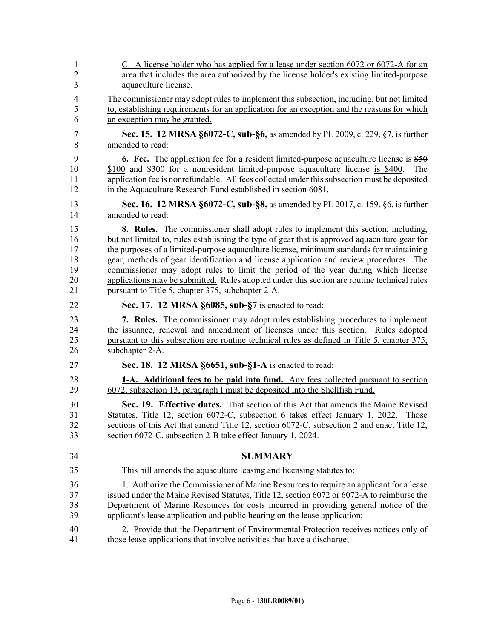| 1                    | C. A license holder who has applied for a lease under section 6072 or 6072-A for an                                                                                                                                                                                                                                                                             |
|----------------------|-----------------------------------------------------------------------------------------------------------------------------------------------------------------------------------------------------------------------------------------------------------------------------------------------------------------------------------------------------------------|
| $\overline{2}$       | area that includes the area authorized by the license holder's existing limited-purpose                                                                                                                                                                                                                                                                         |
| 3                    | aquaculture license.                                                                                                                                                                                                                                                                                                                                            |
| $\overline{4}$       | The commissioner may adopt rules to implement this subsection, including, but not limited                                                                                                                                                                                                                                                                       |
| 5                    | to, establishing requirements for an application for an exception and the reasons for which                                                                                                                                                                                                                                                                     |
| 6                    | an exception may be granted.                                                                                                                                                                                                                                                                                                                                    |
| 7                    | Sec. 15. 12 MRSA §6072-C, sub-§6, as amended by PL 2009, c. 229, §7, is further                                                                                                                                                                                                                                                                                 |
| 8                    | amended to read:                                                                                                                                                                                                                                                                                                                                                |
| 9<br>10<br>11<br>12  | <b>6.</b> Fee. The application fee for a resident limited-purpose aquaculture license is \$50<br>\$100 and \$300 for a nonresident limited-purpose aquaculture license is \$400.<br><b>The</b><br>application fee is nonrefundable. All fees collected under this subsection must be deposited<br>in the Aquaculture Research Fund established in section 6081. |
| 13                   | <b>Sec. 16. 12 MRSA §6072-C, sub-§8, as amended by PL 2017, c. 159, §6, is further</b>                                                                                                                                                                                                                                                                          |
| 14                   | amended to read:                                                                                                                                                                                                                                                                                                                                                |
| 15                   | 8. Rules. The commissioner shall adopt rules to implement this section, including,                                                                                                                                                                                                                                                                              |
| 16                   | but not limited to, rules establishing the type of gear that is approved aquaculture gear for                                                                                                                                                                                                                                                                   |
| 17                   | the purposes of a limited-purpose aquaculture license, minimum standards for maintaining                                                                                                                                                                                                                                                                        |
| 18                   | gear, methods of gear identification and license application and review procedures. The                                                                                                                                                                                                                                                                         |
| 19                   | commissioner may adopt rules to limit the period of the year during which license                                                                                                                                                                                                                                                                               |
| 20                   | applications may be submitted. Rules adopted under this section are routine technical rules                                                                                                                                                                                                                                                                     |
| 21                   | pursuant to Title 5, chapter 375, subchapter 2-A.                                                                                                                                                                                                                                                                                                               |
| 22                   | Sec. 17. 12 MRSA §6085, sub-§7 is enacted to read:                                                                                                                                                                                                                                                                                                              |
| 23                   | 7. Rules. The commissioner may adopt rules establishing procedures to implement                                                                                                                                                                                                                                                                                 |
| 24                   | the issuance, renewal and amendment of licenses under this section. Rules adopted                                                                                                                                                                                                                                                                               |
| 25                   | pursuant to this subsection are routine technical rules as defined in Title 5, chapter 375,                                                                                                                                                                                                                                                                     |
| 26                   | subchapter 2-A.                                                                                                                                                                                                                                                                                                                                                 |
| 27                   | Sec. 18. 12 MRSA §6651, sub-§1-A is enacted to read:                                                                                                                                                                                                                                                                                                            |
| 28                   | 1-A. Additional fees to be paid into fund. Any fees collected pursuant to section                                                                                                                                                                                                                                                                               |
| 29                   | 6072, subsection 13, paragraph I must be deposited into the Shellfish Fund.                                                                                                                                                                                                                                                                                     |
| 30<br>31<br>32<br>33 | Sec. 19. Effective dates. That section of this Act that amends the Maine Revised<br>Statutes, Title 12, section 6072-C, subsection 6 takes effect January 1, 2022.<br>Those<br>sections of this Act that amend Title 12, section 6072-C, subsection 2 and enact Title 12,<br>section 6072-C, subsection 2-B take effect January 1, 2024.                        |
| 34                   | <b>SUMMARY</b>                                                                                                                                                                                                                                                                                                                                                  |
| 35                   | This bill amends the aquaculture leasing and licensing statutes to:                                                                                                                                                                                                                                                                                             |
| 36                   | 1. Authorize the Commissioner of Marine Resources to require an applicant for a lease                                                                                                                                                                                                                                                                           |
| 37                   | issued under the Maine Revised Statutes, Title 12, section 6072 or 6072-A to reimburse the                                                                                                                                                                                                                                                                      |
| 38                   | Department of Marine Resources for costs incurred in providing general notice of the                                                                                                                                                                                                                                                                            |
| 39                   | applicant's lease application and public hearing on the lease application;                                                                                                                                                                                                                                                                                      |
| 40                   | 2. Provide that the Department of Environmental Protection receives notices only of                                                                                                                                                                                                                                                                             |
| 41                   | those lease applications that involve activities that have a discharge;                                                                                                                                                                                                                                                                                         |